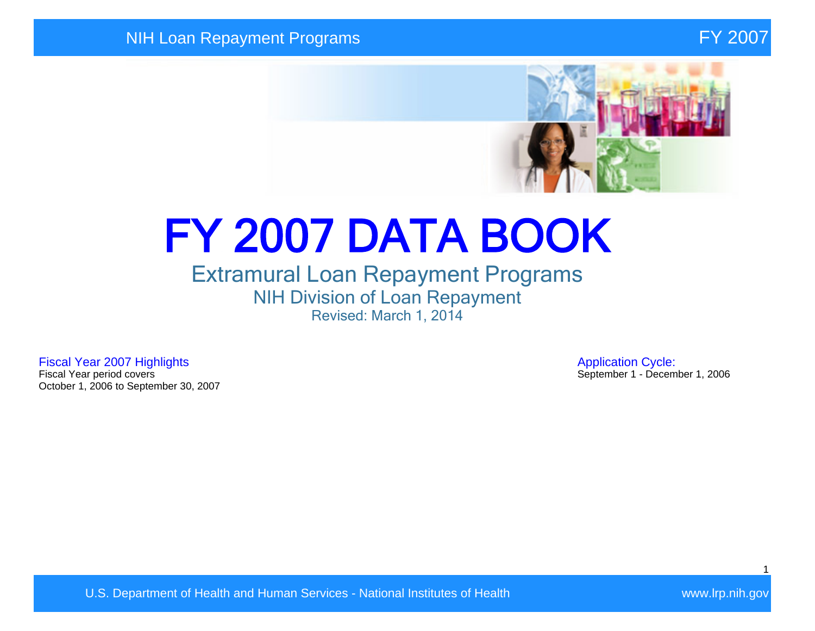

# FY 2007 DATA BOOK

## Extramural Loan Repayment Programs NIH Division of Loan Repayment Revised: March 1, 2014

Fiscal Year 2007 Highlights **Application Cycle:**<br>Fiscal Year period covers **Application Cycle:**<br>Fiscal Year period covers October 1, 2006 to September 30, 2007

September 1 - December 1, 2006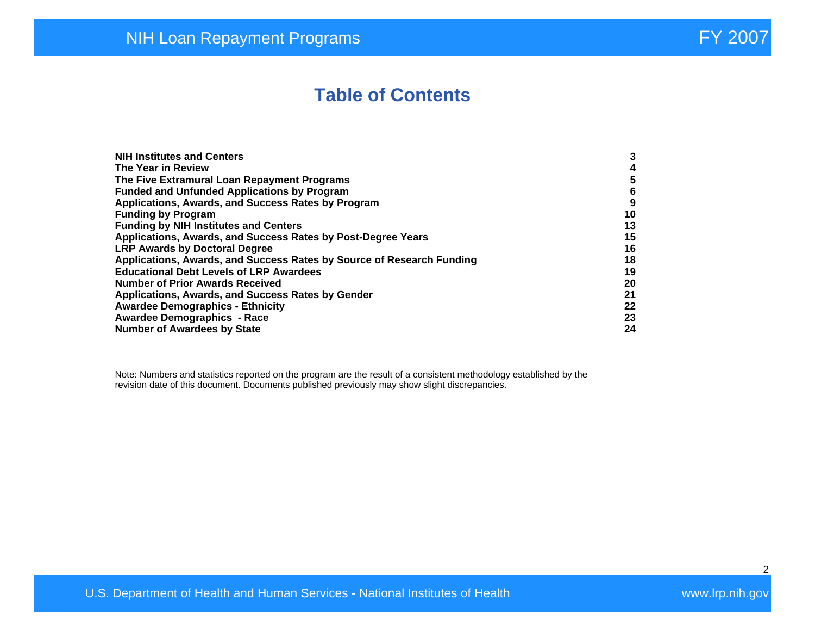## **Table of Contents**

| <b>NIH Institutes and Centers</b>                                     | 3  |
|-----------------------------------------------------------------------|----|
| The Year in Review                                                    | 4  |
| The Five Extramural Loan Repayment Programs                           | 5  |
| <b>Funded and Unfunded Applications by Program</b>                    | 6  |
| Applications, Awards, and Success Rates by Program                    | 9  |
| <b>Funding by Program</b>                                             | 10 |
| <b>Funding by NIH Institutes and Centers</b>                          | 13 |
| Applications, Awards, and Success Rates by Post-Degree Years          | 15 |
| <b>LRP Awards by Doctoral Degree</b>                                  | 16 |
| Applications, Awards, and Success Rates by Source of Research Funding | 18 |
| <b>Educational Debt Levels of LRP Awardees</b>                        | 19 |
| <b>Number of Prior Awards Received</b>                                | 20 |
| Applications, Awards, and Success Rates by Gender                     | 21 |
| <b>Awardee Demographics - Ethnicity</b>                               | 22 |
| <b>Awardee Demographics - Race</b>                                    | 23 |
| <b>Number of Awardees by State</b>                                    | 24 |

Note: Numbers and statistics reported on the program are the result of a consistent methodology established by the revision date of this document. Documents published previously may show slight discrepancies.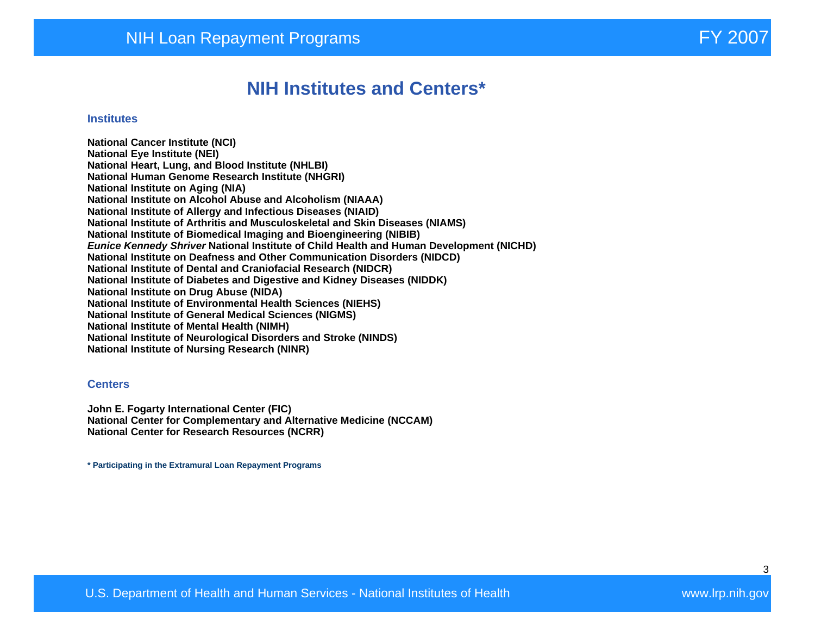## **NIH Institutes and Centers\***

#### **Institutes**

**National Cancer Institute (NCI) National Eye Institute (NEI) National Heart, Lung, and Blood Institute (NHLBI) National Human Genome Research Institute (NHGRI) National Institute on Aging (NIA) National Institute on Alcohol Abuse and Alcoholism (NIAAA) National Institute of Allergy and Infectious Diseases (NIAID) National Institute of Arthritis and Musculoskeletal and Skin Diseases (NIAMS) National Institute of Biomedical Imaging and Bioengineering (NIBIB) Eunice Kennedy Shriver National Institute of Child Health and Human Development (NICHD) National Institute on Deafness and Other Communication Disorders (NIDCD) National Institute of Dental and Craniofacial Research (NIDCR) National Institute of Diabetes and Digestive and Kidney Diseases (NIDDK) National Institute on Drug Abuse (NIDA) National Institute of Environmental Health Sciences (NIEHS) National Institute of General Medical Sciences (NIGMS) National Institute of Mental Health (NIMH) National Institute of Neurological Disorders and Stroke (NINDS) National Institute of Nursing Research (NINR)** 

#### **Centers**

**John E. Fogarty International Center (FIC) National Center for Complementary and Alternative Medicine (NCCAM) National Center for Research Resources (NCRR)** 

**\* Participating in the Extramural Loan Repayment Programs**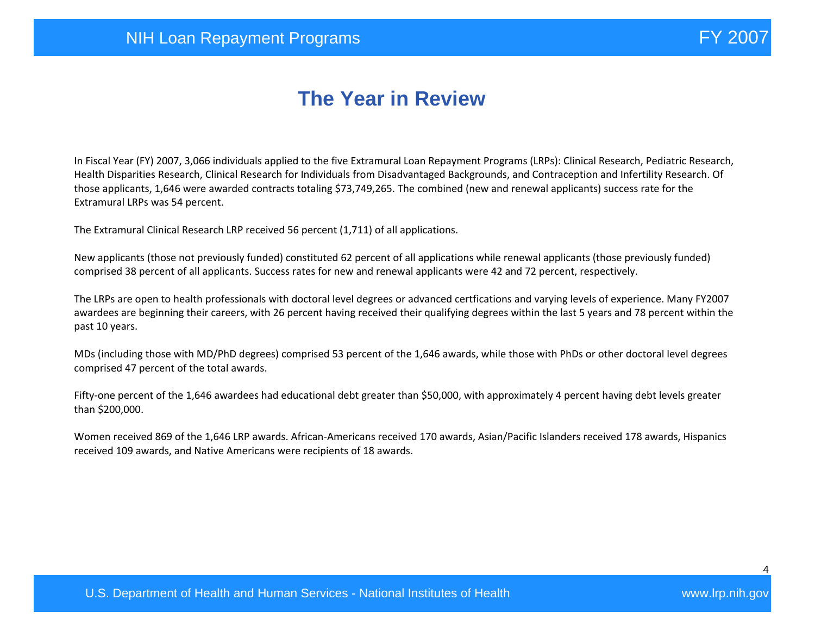# **The Year in Review**

In Fiscal Year (FY) 2007, 3,066 individuals applied to the five Extramural Loan Repayment Programs (LRPs): Clinical Research, Pediatric Research, Health Disparities Research, Clinical Research for Individuals from Disadvantaged Backgrounds, and Contraception and Infertility Research. Of those applicants, 1,646 were awarded contracts totaling \$73,749,265. The combined (new and renewal applicants) success rate for the Extramural LRPs was 54 percent.

The Extramural Clinical Research LRP received 56 percent (1,711) of all applications.

New applicants (those not previously funded) constituted 62 percent of all applications while renewal applicants (those previously funded) comprised 38 percent of all applicants. Success rates for new and renewal applicants were 42 and 72 percent, respectively.

The LRPs are open to health professionals with doctoral level degrees or advanced certfications and varying levels of experience. Many FY2007 awardees are beginning their careers, with 26 percent having received their qualifying degrees within the last 5 years and 78 percent within the past 10 years.

MDs (including those with MD/PhD degrees) comprised 53 percent of the 1,646 awards, while those with PhDs or other doctoral level degrees comprised 47 percent of the total awards.

Fifty-one percent of the 1,646 awardees had educational debt greater than \$50,000, with approximately 4 percent having debt levels greater than \$200,000.

Women received 869 of the 1,646 LRP awards. African-Americans received 170 awards, Asian/Pacific Islanders received 178 awards, Hispanics received 109 awards, and Native Americans were recipients of 18 awards.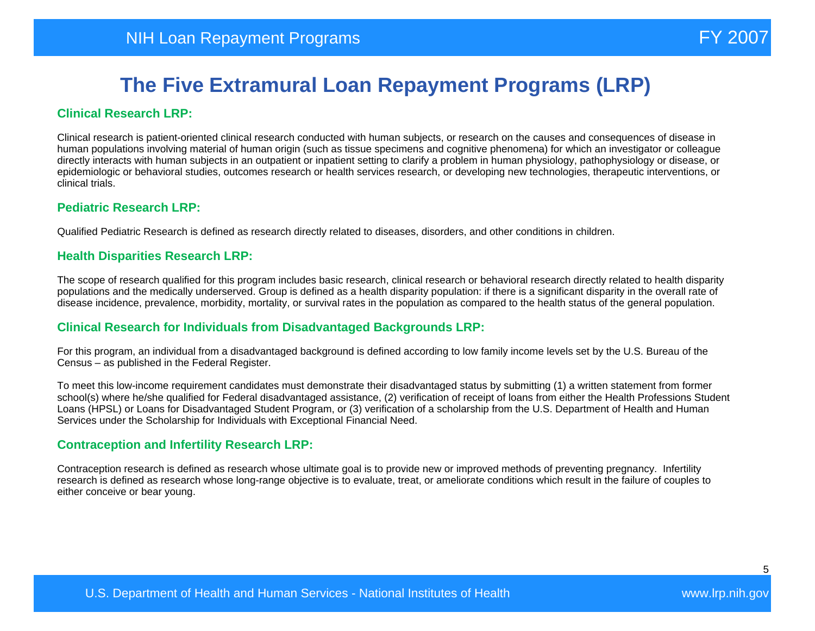#### **Clinical Research LRP:**

Clinical research is patient-oriented clinical research conducted with human subjects, or research on the causes and consequences of disease in human populations involving material of human origin (such as tissue specimens and cognitive phenomena) for which an investigator or colleague directly interacts with human subjects in an outpatient or inpatient setting to clarify a problem in human physiology, pathophysiology or disease, or epidemiologic or behavioral studies, outcomes research or health services research, or developing new technologies, therapeutic interventions, or clinical trials.

#### **Pediatric Research LRP:**

Qualified Pediatric Research is defined as research directly related to diseases, disorders, and other conditions in children.

#### **Health Disparities Research LRP:**

The scope of research qualified for this program includes basic research, clinical research or behavioral research directly related to health disparity populations and the medically underserved. Group is defined as a health disparity population: if there is a significant disparity in the overall rate of disease incidence, prevalence, morbidity, mortality, or survival rates in the population as compared to the health status of the general population.

#### **Clinical Research for Individuals from Disadvantaged Backgrounds LRP:**

For this program, an individual from a disadvantaged background is defined according to low family income levels set by the U.S. Bureau of the Census – as published in the Federal Register.

To meet this low-income requirement candidates must demonstrate their disadvantaged status by submitting (1) a written statement from former school(s) where he/she qualified for Federal disadvantaged assistance, (2) verification of receipt of loans from either the Health Professions Student Loans (HPSL) or Loans for Disadvantaged Student Program, or (3) verification of a scholarship from the U.S. Department of Health and Human Services under the Scholarship for Individuals with Exceptional Financial Need.

#### **Contraception and Infertility Research LRP:**

Contraception research is defined as research whose ultimate goal is to provide new or improved methods of preventing pregnancy. Infertility research is defined as research whose long-range objective is to evaluate, treat, or ameliorate conditions which result in the failure of couples to either conceive or bear young.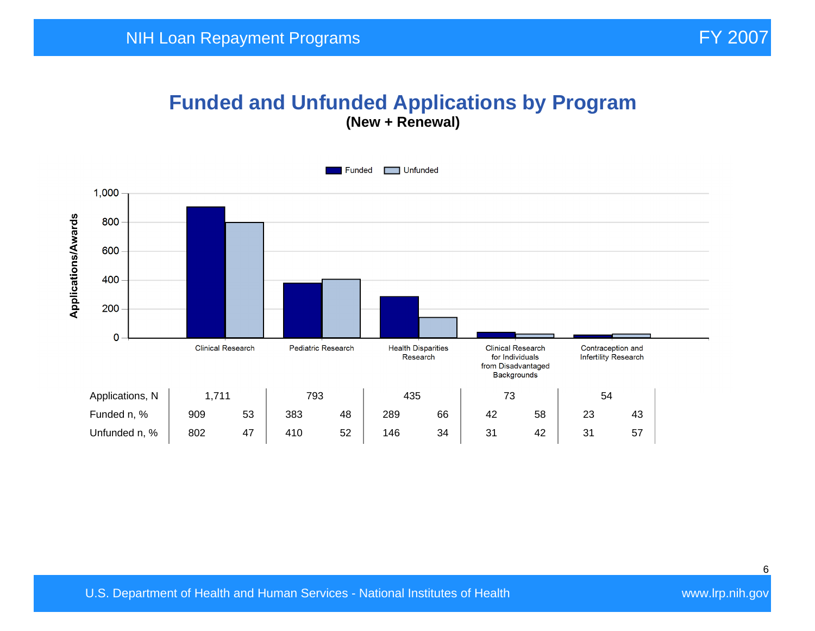#### **Funded and Unfunded Applications by Program (New + Renewal)**

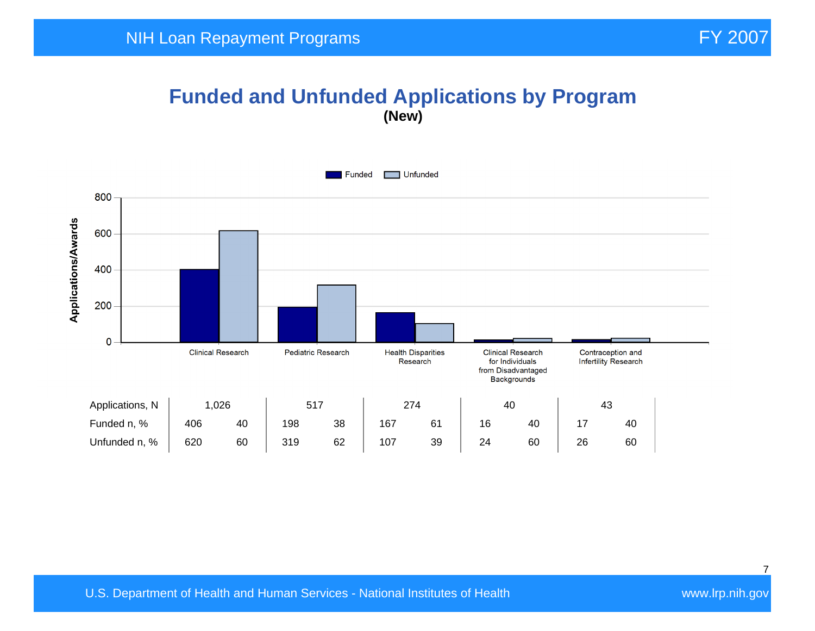## **Funded and Unfunded Applications by Program (New)**

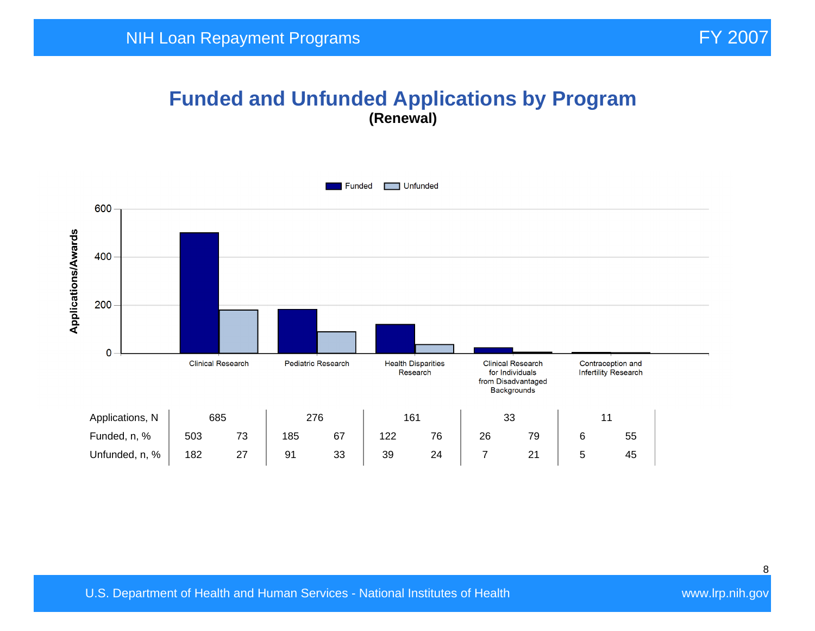#### **Funded and Unfunded Applications by Program (Renewal)**

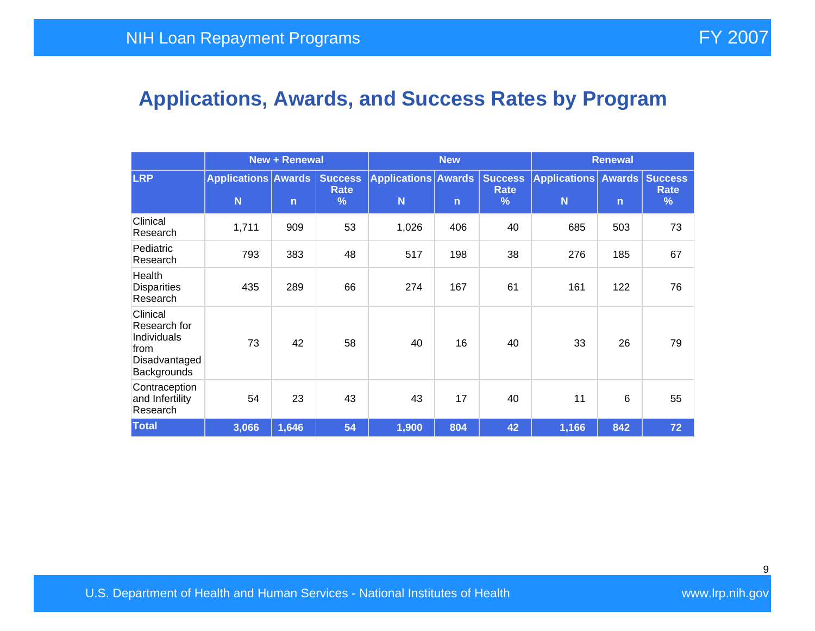## **Applications, Awards, and Success Rates by Program**

|                                                                                 | <b>New + Renewal</b>            |              |                             | <b>New</b>                      |              |                                         | <b>Renewal</b>                   |              |           |
|---------------------------------------------------------------------------------|---------------------------------|--------------|-----------------------------|---------------------------------|--------------|-----------------------------------------|----------------------------------|--------------|-----------|
| <b>LRP</b>                                                                      | <b>Applications Awards</b><br>N | $\mathsf{n}$ | <b>Success</b><br>Rate<br>% | <b>Applications Awards</b><br>N | $\mathsf{n}$ | <b>Success</b><br>Rate<br>$\frac{9}{6}$ | Applications Awards Success<br>N | $\mathsf{n}$ | Rate<br>% |
| Clinical<br>Research                                                            | 1,711                           | 909          | 53                          | 1,026                           | 406          | 40                                      | 685                              | 503          | 73        |
| Pediatric<br>Research                                                           | 793                             | 383          | 48                          | 517                             | 198          | 38                                      | 276                              | 185          | 67        |
| Health<br><b>Disparities</b><br>Research                                        | 435                             | 289          | 66                          | 274                             | 167          | 61                                      | 161                              | 122          | 76        |
| Clinical<br>Research for<br>Individuals<br>from<br>Disadvantaged<br>Backgrounds | 73                              | 42           | 58                          | 40                              | 16           | 40                                      | 33                               | 26           | 79        |
| Contraception<br>and Infertility<br>Research                                    | 54                              | 23           | 43                          | 43                              | 17           | 40                                      | 11                               | 6            | 55        |
| <b>Total</b>                                                                    | 3,066                           | 1,646        | 54                          | 1,900                           | 804          | 42                                      | 1,166                            | 842          | 72        |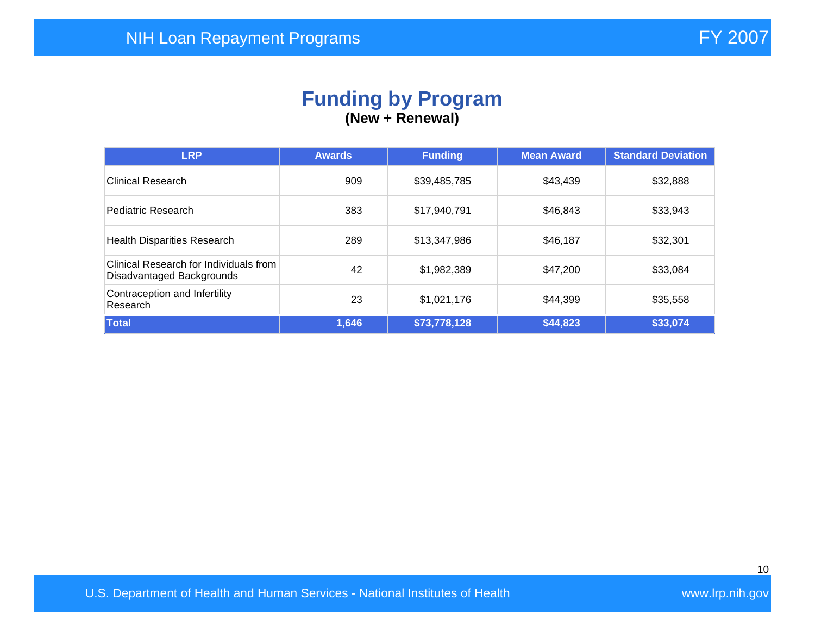#### **Funding by Program (New + Renewal)**

| <b>LRP</b>                                                          | <b>Awards</b> | <b>Funding</b> | <b>Mean Award</b> | <b>Standard Deviation</b> |
|---------------------------------------------------------------------|---------------|----------------|-------------------|---------------------------|
| Clinical Research                                                   | 909           | \$39,485,785   | \$43,439          | \$32,888                  |
| Pediatric Research                                                  | 383           | \$17,940,791   | \$46,843          | \$33,943                  |
| <b>Health Disparities Research</b>                                  | 289           | \$13,347,986   | \$46,187          | \$32,301                  |
| Clinical Research for Individuals from<br>Disadvantaged Backgrounds | 42            | \$1,982,389    | \$47,200          | \$33,084                  |
| Contraception and Infertility<br>Research                           | 23            | \$1,021,176    | \$44,399          | \$35,558                  |
| Total                                                               | 1,646         | \$73,778,128   | \$44,823          | \$33,074                  |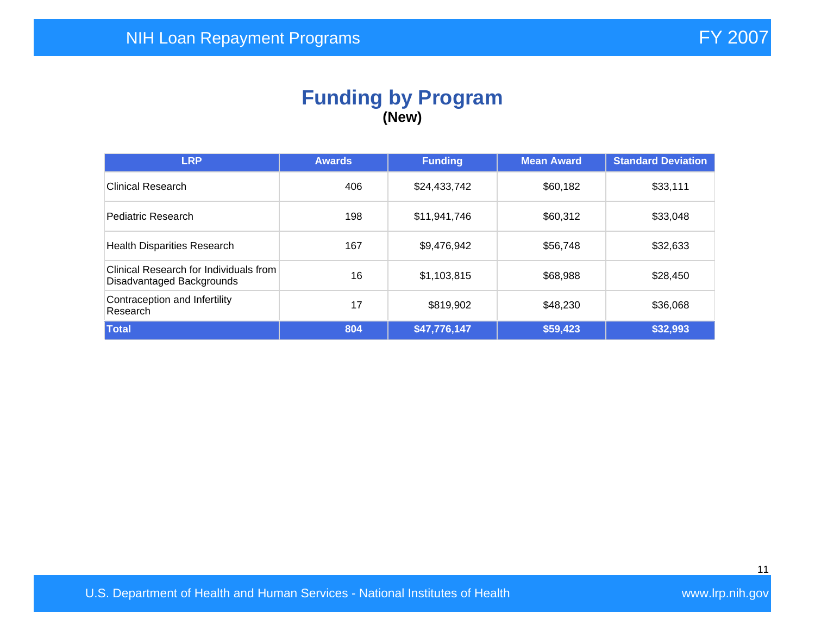#### **Funding by Program (New)**

| <b>LRP</b>                                                          | <b>Awards</b> | <b>Funding</b> | <b>Mean Award</b> | <b>Standard Deviation</b> |
|---------------------------------------------------------------------|---------------|----------------|-------------------|---------------------------|
| <b>Clinical Research</b>                                            | 406           | \$24,433,742   | \$60,182          | \$33,111                  |
| Pediatric Research                                                  | 198           | \$11,941,746   | \$60,312          | \$33,048                  |
| <b>Health Disparities Research</b>                                  | 167           | \$9,476,942    | \$56,748          | \$32,633                  |
| Clinical Research for Individuals from<br>Disadvantaged Backgrounds | 16            | \$1,103,815    | \$68,988          | \$28,450                  |
| Contraception and Infertility<br>Research                           | 17            | \$819,902      | \$48,230          | \$36,068                  |
| Total                                                               | 804           | \$47,776,147   | \$59,423          | \$32,993                  |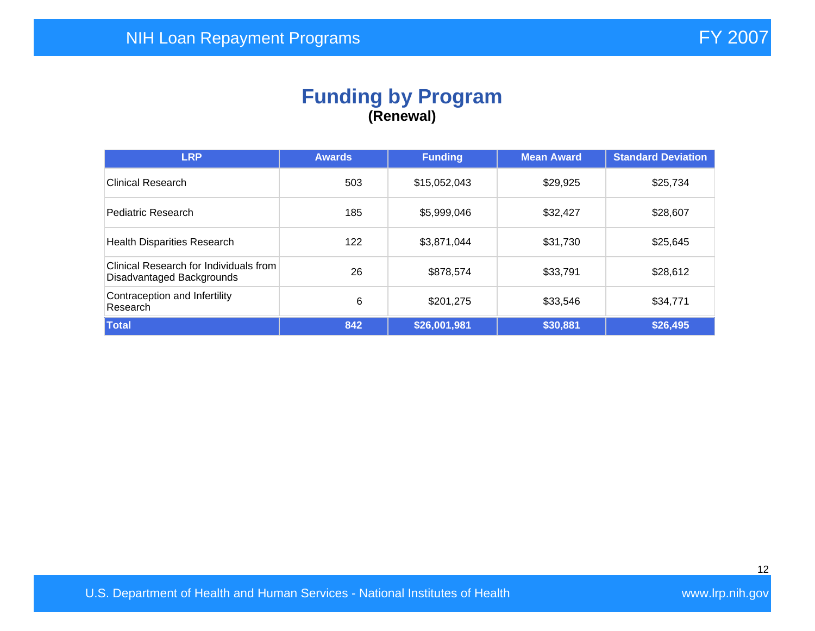## **Funding by Program (Renewal)**

| <b>LRP</b>                                                          | <b>Awards</b> | <b>Funding</b> | <b>Mean Award</b> | <b>Standard Deviation</b> |
|---------------------------------------------------------------------|---------------|----------------|-------------------|---------------------------|
| Clinical Research                                                   | 503           | \$15,052,043   | \$29,925          | \$25,734                  |
| Pediatric Research                                                  | 185           | \$5,999,046    | \$32,427          | \$28,607                  |
| <b>Health Disparities Research</b>                                  | 122           | \$3,871,044    | \$31,730          | \$25,645                  |
| Clinical Research for Individuals from<br>Disadvantaged Backgrounds | 26            | \$878,574      | \$33,791          | \$28,612                  |
| Contraception and Infertility<br>Research                           | 6             | \$201,275      | \$33,546          | \$34,771                  |
| Total                                                               | 842           | \$26,001,981   | \$30,881          | \$26,495                  |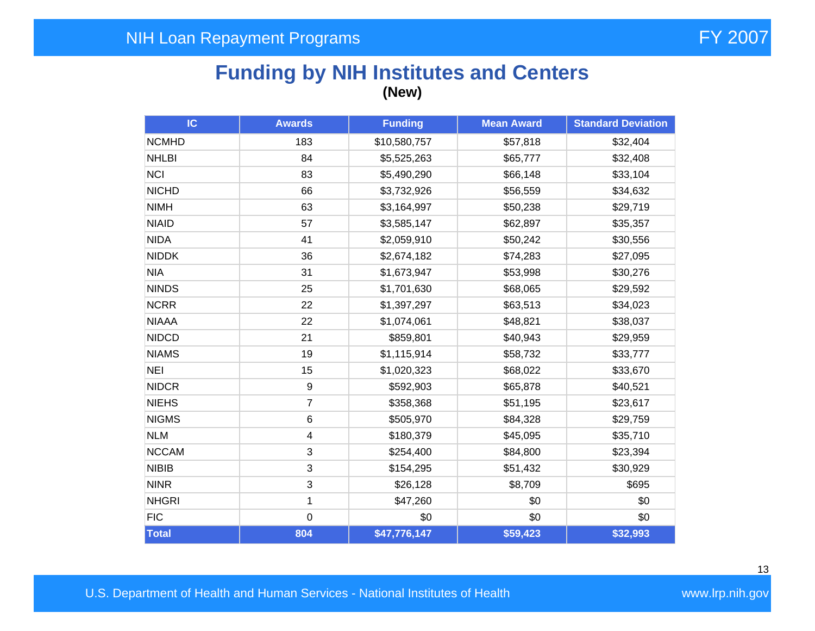## **Funding by NIH Institutes and Centers (New)**

| IC           | <b>Awards</b>    | <b>Funding</b> | <b>Mean Award</b> | <b>Standard Deviation</b> |
|--------------|------------------|----------------|-------------------|---------------------------|
| <b>NCMHD</b> | 183              | \$10,580,757   | \$57,818          | \$32,404                  |
| <b>NHLBI</b> | 84               | \$5,525,263    | \$65,777          | \$32,408                  |
| <b>NCI</b>   | 83               | \$5,490,290    | \$66,148          | \$33,104                  |
| <b>NICHD</b> | 66               | \$3,732,926    | \$56,559          | \$34,632                  |
| <b>NIMH</b>  | 63               | \$3,164,997    | \$50,238          | \$29,719                  |
| <b>NIAID</b> | 57               | \$3,585,147    | \$62,897          | \$35,357                  |
| <b>NIDA</b>  | 41               | \$2,059,910    | \$50,242          | \$30,556                  |
| <b>NIDDK</b> | 36               | \$2,674,182    | \$74,283          | \$27,095                  |
| <b>NIA</b>   | 31               | \$1,673,947    | \$53,998          | \$30,276                  |
| <b>NINDS</b> | 25               | \$1,701,630    | \$68,065          | \$29,592                  |
| <b>NCRR</b>  | 22               | \$1,397,297    | \$63,513          | \$34,023                  |
| <b>NIAAA</b> | 22               | \$1,074,061    | \$48,821          | \$38,037                  |
| <b>NIDCD</b> | 21               | \$859,801      | \$40,943          | \$29,959                  |
| <b>NIAMS</b> | 19               | \$1,115,914    | \$58,732          | \$33,777                  |
| <b>NEI</b>   | 15               | \$1,020,323    | \$68,022          | \$33,670                  |
| <b>NIDCR</b> | $\boldsymbol{9}$ | \$592,903      | \$65,878          | \$40,521                  |
| <b>NIEHS</b> | $\overline{7}$   | \$358,368      | \$51,195          | \$23,617                  |
| <b>NIGMS</b> | 6                | \$505,970      | \$84,328          | \$29,759                  |
| <b>NLM</b>   | 4                | \$180,379      | \$45,095          | \$35,710                  |
| <b>NCCAM</b> | 3                | \$254,400      | \$84,800          | \$23,394                  |
| <b>NIBIB</b> | 3                | \$154,295      | \$51,432          | \$30,929                  |
| <b>NINR</b>  | 3                | \$26,128       | \$8,709           | \$695                     |
| <b>NHGRI</b> | 1                | \$47,260       | \$0               | \$0                       |
| <b>FIC</b>   | 0                | \$0            | \$0               | \$0                       |
| Total        | 804              | \$47,776,147   | \$59,423          | \$32,993                  |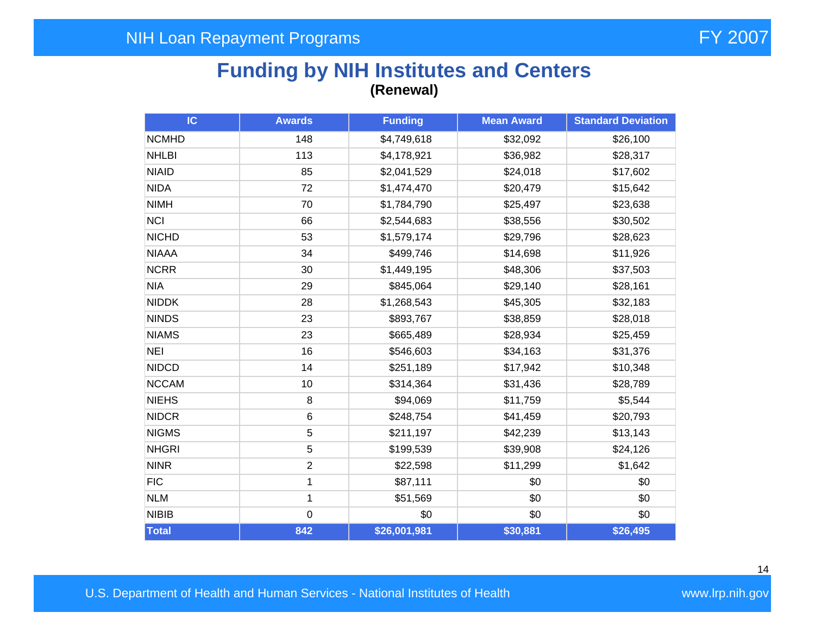## **Funding by NIH Institutes and Centers (Renewal)**

| IC           | <b>Awards</b>  | <b>Funding</b> | <b>Mean Award</b> |          |
|--------------|----------------|----------------|-------------------|----------|
| <b>NCMHD</b> | 148            | \$4,749,618    | \$32,092          | \$26,100 |
| <b>NHLBI</b> | 113            | \$4,178,921    | \$36,982          | \$28,317 |
| <b>NIAID</b> | 85             | \$2,041,529    | \$24,018          | \$17,602 |
| <b>NIDA</b>  | 72             | \$1,474,470    | \$20,479          | \$15,642 |
| <b>NIMH</b>  | 70             | \$1,784,790    | \$25,497          | \$23,638 |
| <b>NCI</b>   | 66             | \$2,544,683    | \$38,556          | \$30,502 |
| <b>NICHD</b> | 53             | \$1,579,174    | \$29,796          | \$28,623 |
| <b>NIAAA</b> | 34             | \$499,746      | \$14,698          | \$11,926 |
| <b>NCRR</b>  | 30             | \$1,449,195    | \$48,306          | \$37,503 |
| <b>NIA</b>   | 29             | \$845,064      | \$29,140          | \$28,161 |
| <b>NIDDK</b> | 28             | \$1,268,543    | \$45,305          | \$32,183 |
| <b>NINDS</b> | 23             | \$893,767      | \$38,859          | \$28,018 |
| <b>NIAMS</b> | 23             | \$665,489      | \$28,934          | \$25,459 |
| <b>NEI</b>   | 16             | \$546,603      | \$34,163          | \$31,376 |
| <b>NIDCD</b> | 14             | \$251,189      | \$17,942          | \$10,348 |
| <b>NCCAM</b> | 10             | \$314,364      | \$31,436          | \$28,789 |
| <b>NIEHS</b> | 8              | \$94,069       | \$11,759          | \$5,544  |
| <b>NIDCR</b> | 6              | \$248,754      | \$41,459          | \$20,793 |
| <b>NIGMS</b> | 5              | \$211,197      | \$42,239          | \$13,143 |
| <b>NHGRI</b> | 5              | \$199,539      | \$39,908          | \$24,126 |
| <b>NINR</b>  | $\overline{2}$ | \$22,598       | \$11,299          | \$1,642  |
| <b>FIC</b>   | 1              | \$87,111       | \$0               | \$0      |
| <b>NLM</b>   | 1              | \$51,569       | \$0               | \$0      |
| <b>NIBIB</b> | $\mathbf 0$    | \$0            | \$0               | \$0      |
| Total        | 842            | \$26,001,981   | \$30,881          | \$26,495 |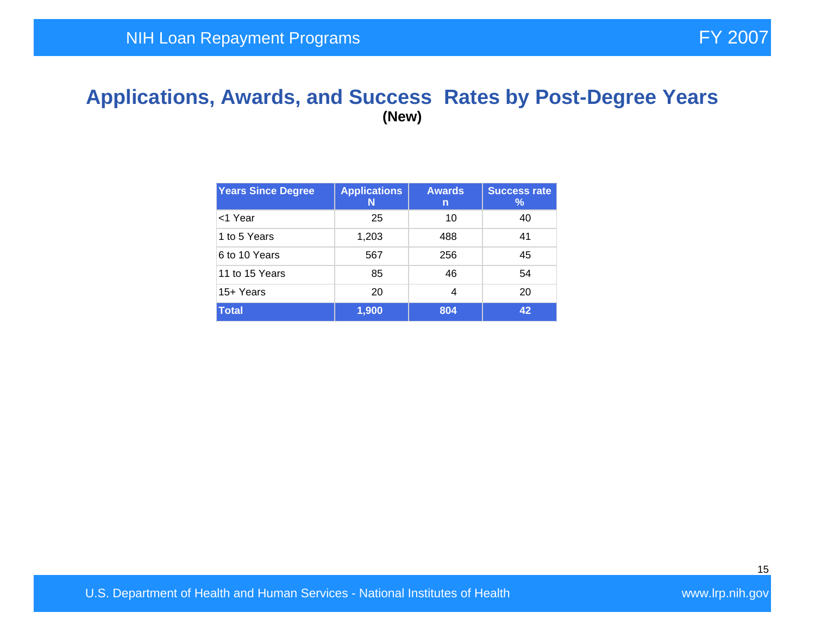#### **Applications, Awards, and Success Rates by Post-Degree Years (New)**

| <b>Years Since Degree</b> | <b>Applications</b><br>N | <b>Awards</b><br>n | <b>Success rate</b><br>$\%$ |
|---------------------------|--------------------------|--------------------|-----------------------------|
| <1 Year                   | 25                       | 10                 | 40                          |
| 1 to 5 Years              | 1,203                    | 488                | 41                          |
| 6 to 10 Years             | 567                      | 256                | 45                          |
| 11 to 15 Years            | 85                       | 46                 | 54                          |
| 15+ Years                 | 20                       | 4                  | 20                          |
| <b>Total</b>              | 1,900                    | 804                | 42                          |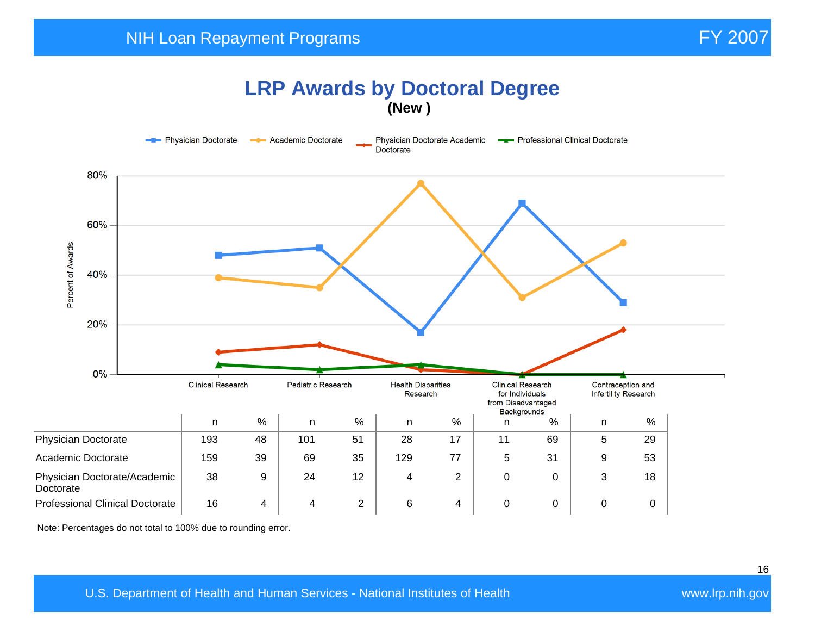#### **LRP Awards by Doctoral Degree (New )**



Note: Percentages do not total to 100% due to rounding error.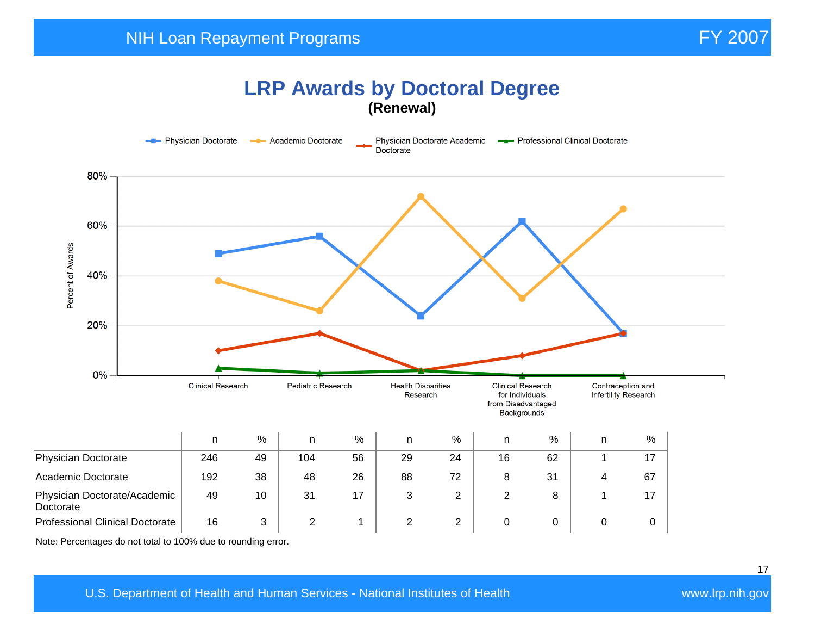## **LRP Awards by Doctoral Degree (Renewal)**



Note: Percentages do not total to 100% due to rounding error.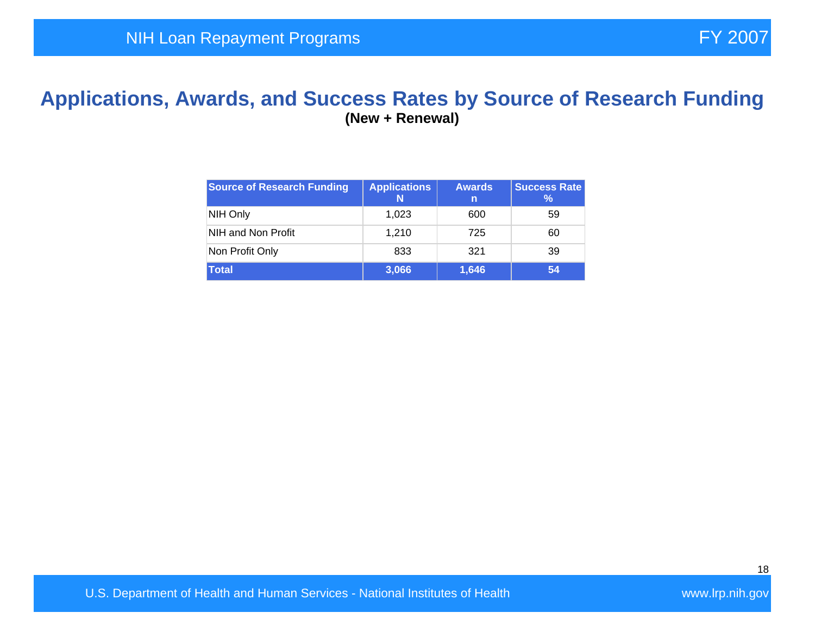#### **Applications, Awards, and Success Rates by Source of Research Funding (New + Renewal)**

| <b>Source of Research Funding</b> | <b>Applications</b> | <b>Awards</b><br>n | <b>Success Rate</b><br>℅ |
|-----------------------------------|---------------------|--------------------|--------------------------|
| NIH Only                          | 1.023               | 600                | 59                       |
| NIH and Non Profit                | 1.210               | 725                | 60                       |
| Non Profit Only                   | 833                 | 321                | 39                       |
| <b>Total</b>                      | 3,066               | 1,646              | 54                       |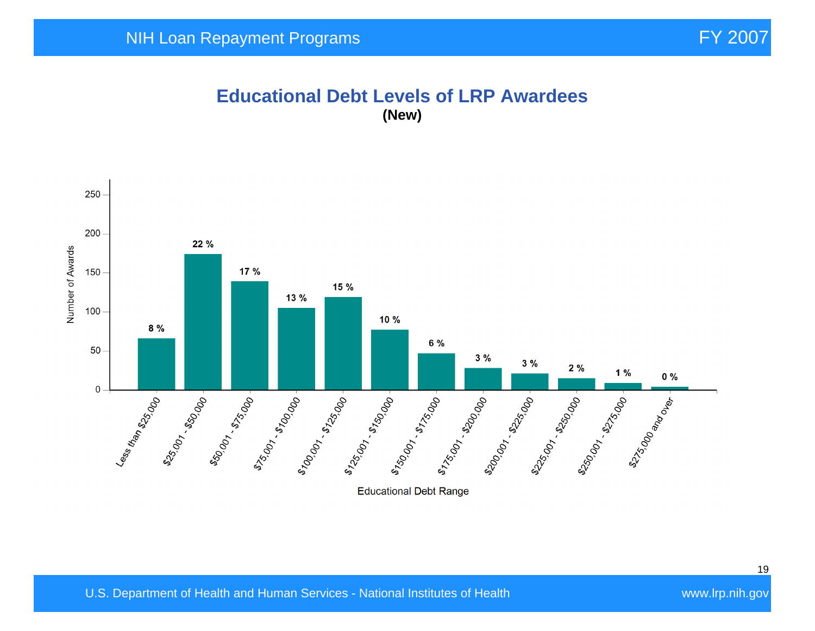#### **Educational Debt Levels of LRP Awardees (New)**

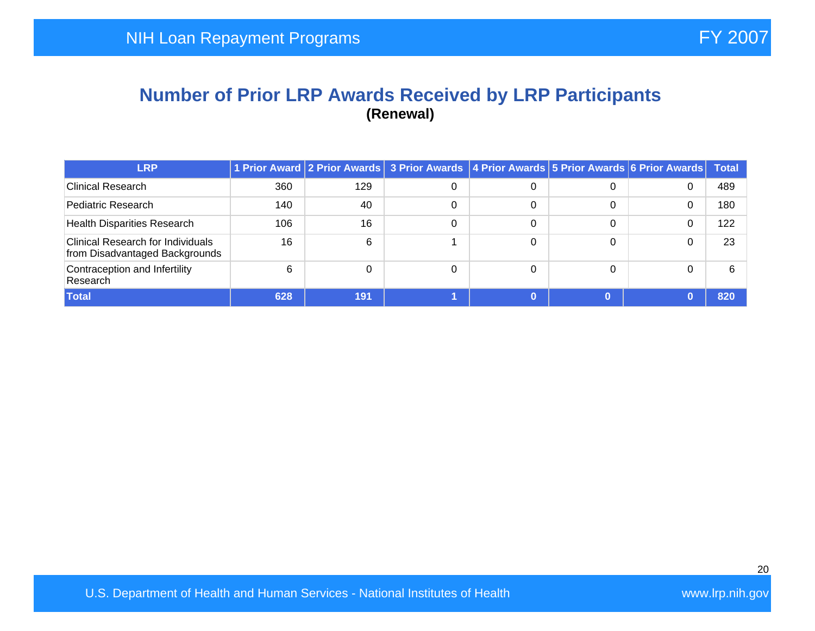#### **Number of Prior LRP Awards Received by LRP Participants (Renewal)**

| <b>LRP</b>                                                                 |     |     | 1 Prior Award 2 Prior Awards 3 Prior Awards 4 Prior Awards 5 Prior Awards 6 Prior Awards |   |   | <b>Total</b> |
|----------------------------------------------------------------------------|-----|-----|------------------------------------------------------------------------------------------|---|---|--------------|
| <b>Clinical Research</b>                                                   | 360 | 129 |                                                                                          |   | 0 | 489          |
| Pediatric Research                                                         | 140 | 40  |                                                                                          | 0 | 0 | 180          |
| <b>Health Disparities Research</b>                                         | 106 | 16  |                                                                                          | 0 | 0 | 122          |
| <b>Clinical Research for Individuals</b><br>from Disadvantaged Backgrounds | 16  | 6   |                                                                                          |   | 0 | 23           |
| Contraception and Infertility<br>Research                                  | 6   |     |                                                                                          |   | 0 | 6            |
| <b>Total</b>                                                               | 628 | 191 |                                                                                          |   |   | 820          |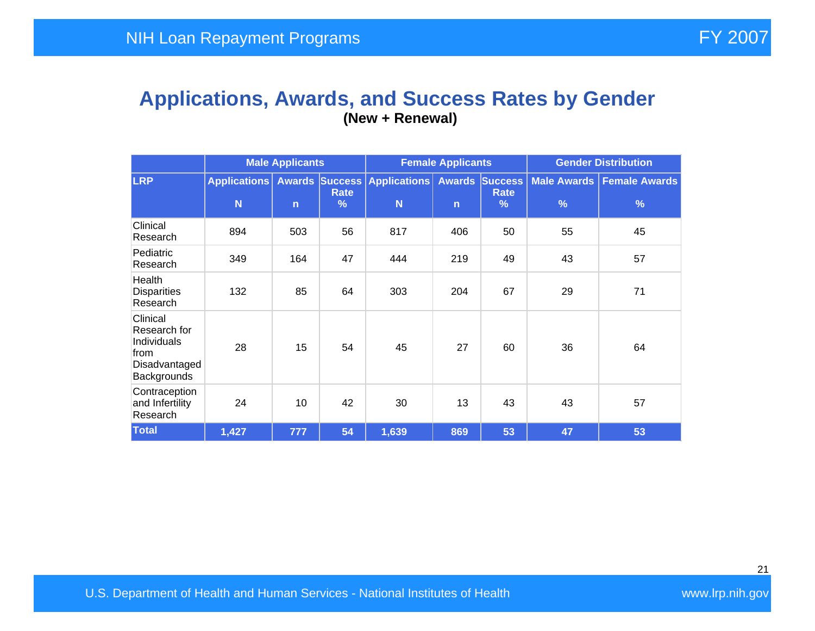#### **Applications, Awards, and Success Rates by Gender (New + Renewal)**

|                                                                                 | <b>Male Applicants</b>   |                |           | <b>Female Applicants</b>                |              |                                       | <b>Gender Distribution</b> |                                    |  |
|---------------------------------------------------------------------------------|--------------------------|----------------|-----------|-----------------------------------------|--------------|---------------------------------------|----------------------------|------------------------------------|--|
| <b>LRP</b>                                                                      | <b>Applications</b><br>N | $\overline{n}$ | Rate<br>% | <b>Awards Success Applications</b><br>N | $\mathsf{n}$ | <b>Awards Success</b><br>Rate<br>$\%$ | $\frac{9}{6}$              | Male Awards   Female Awards  <br>% |  |
| Clinical<br>Research                                                            | 894                      | 503            | 56        | 817                                     | 406          | 50                                    | 55                         | 45                                 |  |
| Pediatric<br>Research                                                           | 349                      | 164            | 47        | 444                                     | 219          | 49                                    | 43                         | 57                                 |  |
| Health<br><b>Disparities</b><br>Research                                        | 132                      | 85             | 64        | 303                                     | 204          | 67                                    | 29                         | 71                                 |  |
| Clinical<br>Research for<br>Individuals<br>from<br>Disadvantaged<br>Backgrounds | 28                       | 15             | 54        | 45                                      | 27           | 60                                    | 36                         | 64                                 |  |
| Contraception<br>and Infertility<br>Research                                    | 24                       | 10             | 42        | 30                                      | 13           | 43                                    | 43                         | 57                                 |  |
| <b>Total</b>                                                                    | 1,427                    | 777            | 54        | 1,639                                   | 869          | 53                                    | 47                         | 53                                 |  |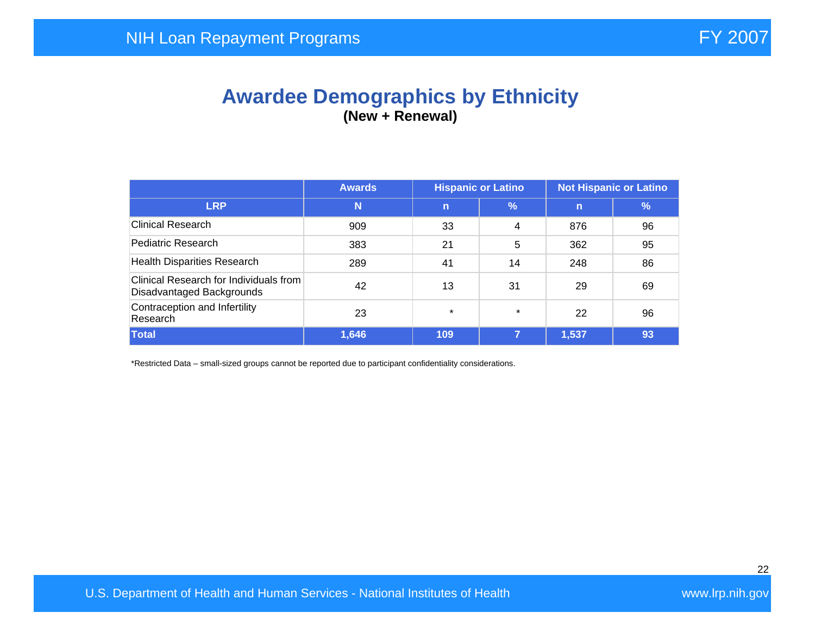## **Awardee Demographics by Ethnicity (New + Renewal)**

|                                                                     | <b>Awards</b> | <b>Hispanic or Latino</b> |         | <b>Not Hispanic or Latino</b> |            |  |
|---------------------------------------------------------------------|---------------|---------------------------|---------|-------------------------------|------------|--|
| <b>LRP</b>                                                          | N             | $\mathbf n$               | $\%$    | $\mathbf n$                   | $\sqrt{2}$ |  |
| <b>Clinical Research</b>                                            | 909           | 33                        | 4       | 876                           | 96         |  |
| Pediatric Research                                                  | 383           | 21                        | 5       | 362                           | 95         |  |
| <b>Health Disparities Research</b>                                  | 289           | 41                        | 14      | 248                           | 86         |  |
| Clinical Research for Individuals from<br>Disadvantaged Backgrounds | 42            | 13                        | 31      | 29                            | 69         |  |
| Contraception and Infertility<br>Research                           | 23            | $\star$                   | $\star$ | 22                            | 96         |  |
| Total                                                               | 1,646         | 109                       | 7       | 1,537                         | 93         |  |

\*Restricted Data – small-sized groups cannot be reported due to participant confidentiality considerations.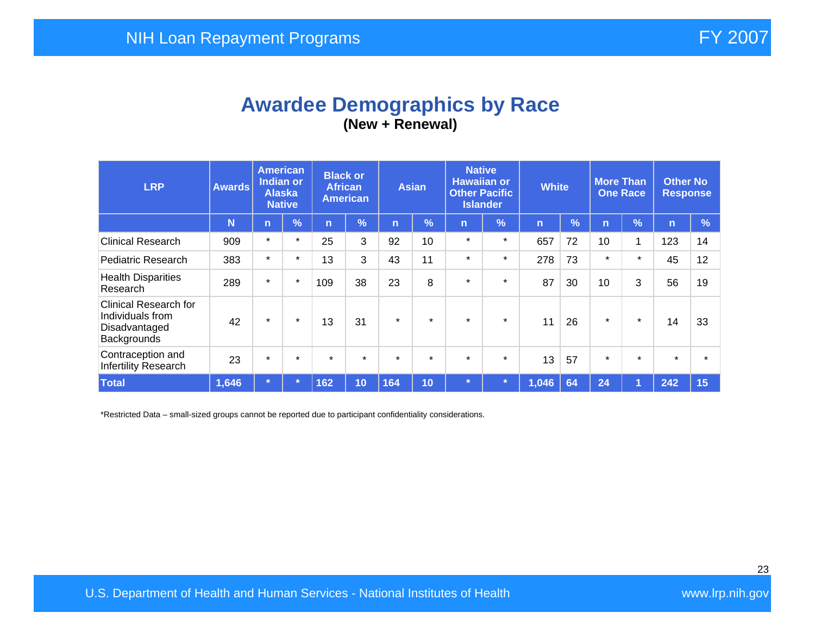## **Awardee Demographics by Race (New + Renewal)**

| <b>LRP</b>                                                                | <b>Awards</b> | <b>American</b><br><b>Indian or</b><br><b>Alaska</b><br><b>Native</b> |               | <b>Black or</b><br><b>African</b><br><b>American</b> |         | <b>Asian</b> |         | <b>Native</b><br><b>Hawaiian or</b><br><b>Other Pacific</b><br><b>Islander</b> |               | <b>White</b>   |               | <b>More Than</b><br><b>One Race</b> |         | <b>Other No</b><br><b>Response</b> |      |
|---------------------------------------------------------------------------|---------------|-----------------------------------------------------------------------|---------------|------------------------------------------------------|---------|--------------|---------|--------------------------------------------------------------------------------|---------------|----------------|---------------|-------------------------------------|---------|------------------------------------|------|
|                                                                           | N             | $\overline{n}$                                                        | $\frac{9}{6}$ | 'n                                                   | $\%$    | n            | %       | $\mathsf{n}$                                                                   | $\frac{9}{6}$ | $\overline{n}$ | $\frac{9}{6}$ | n                                   | %       | $\mathsf{n}$                       | $\%$ |
| <b>Clinical Research</b>                                                  | 909           | $\star$                                                               | $\star$       | 25                                                   | 3       | 92           | 10      | $\star$                                                                        | $\star$       | 657            | 72            | 10                                  | 1       | 123                                | 14   |
| Pediatric Research                                                        | 383           | $\star$                                                               | $\star$       | 13                                                   | 3       | 43           | 11      | $\star$                                                                        | $\star$       | 278            | 73            | $\star$                             | $\star$ | 45                                 | 12   |
| <b>Health Disparities</b><br>Research                                     | 289           | $\star$                                                               | $\star$       | 109                                                  | 38      | 23           | 8       | $\star$                                                                        | $\star$       | 87             | 30            | 10                                  | 3       | 56                                 | 19   |
| Clinical Research for<br>Individuals from<br>Disadvantaged<br>Backgrounds | 42            | $\star$                                                               | $\star$       | 13                                                   | 31      | $\star$      | $\star$ | $\star$                                                                        | $\star$       | 11             | 26            | $\star$                             | $\star$ | 14                                 | 33   |
| Contraception and<br>Infertility Research                                 | 23            | $\star$                                                               | $\star$       | $\star$                                              | $\star$ | $\star$      | $\star$ | $\star$                                                                        | $\star$       | 13             | 57            | $\star$                             | $\star$ | $\star$                            |      |
| <b>Total</b>                                                              | 1,646         | $\star$                                                               |               | 162                                                  | 10      | 164          | 10      | $\star$                                                                        |               | 1,046          | 64            | 24                                  | и       | 242                                | 15   |

\*Restricted Data – small-sized groups cannot be reported due to participant confidentiality considerations.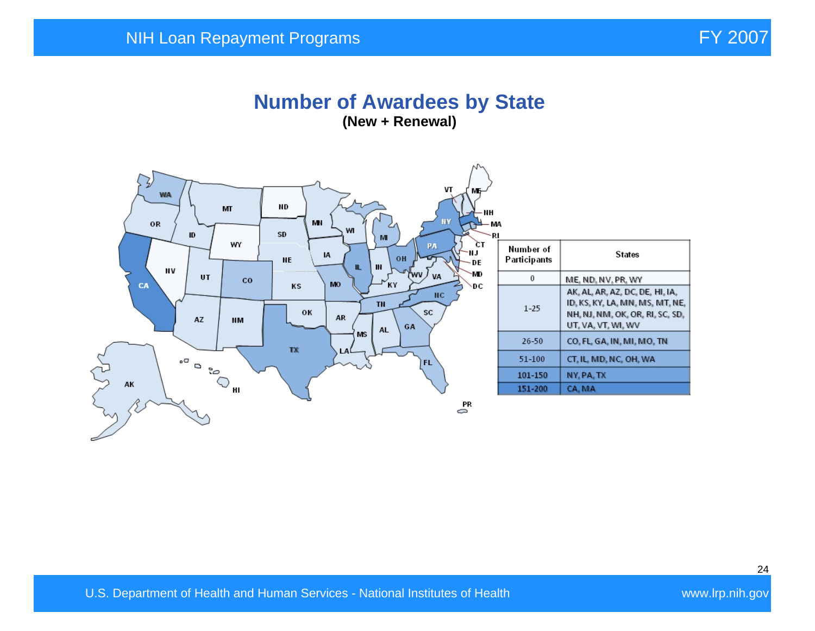#### **Number of Awardees by State (New + Renewal)**